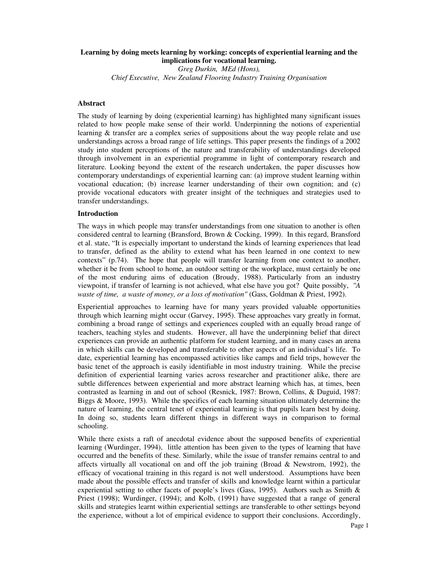# **Learning by doing meets learning by working: concepts of experiential learning and the implications for vocational learning.**

*Greg Durkin, MEd (Hons), Chief Executive, New Zealand Flooring Industry Training Organisation*

### **Abstract**

The study of learning by doing (experiential learning) has highlighted many significant issues related to how people make sense of their world. Underpinning the notions of experiential learning & transfer are a complex series of suppositions about the way people relate and use understandings across a broad range of life settings. This paper presents the findings of a 2002 study into student perceptions of the nature and transferability of understandings developed through involvement in an experiential programme in light of contemporary research and literature. Looking beyond the extent of the research undertaken, the paper discusses how contemporary understandings of experiential learning can: (a) improve student learning within vocational education; (b) increase learner understanding of their own cognition; and (c) provide vocational educators with greater insight of the techniques and strategies used to transfer understandings.

#### **Introduction**

The ways in which people may transfer understandings from one situation to another is often considered central to learning (Bransford, Brown & Cocking, 1999). In this regard, Bransford et al. state, "It is especially important to understand the kinds of learning experiences that lead to transfer, defined as the ability to extend what has been learned in one context to new contexts" (p.74). The hope that people will transfer learning from one context to another, whether it be from school to home, an outdoor setting or the workplace, must certainly be one of the most enduring aims of education (Broudy, 1988). Particularly from an industry viewpoint, if transfer of learning is not achieved, what else have you got? Quite possibly, *"A waste of time, a waste of money, or a loss of motivation"* (Gass, Goldman & Priest, 1992).

Experiential approaches to learning have for many years provided valuable opportunities through which learning might occur (Garvey, 1995). These approaches vary greatly in format, combining a broad range of settings and experiences coupled with an equally broad range of teachers, teaching styles and students. However, all have the underpinning belief that direct experiences can provide an authentic platform for student learning, and in many cases an arena in which skills can be developed and transferable to other aspects of an individual's life. To date, experiential learning has encompassed activities like camps and field trips, however the basic tenet of the approach is easily identifiable in most industry training. While the precise definition of experiential learning varies across researcher and practitioner alike, there are subtle differences between experiential and more abstract learning which has, at times, been contrasted as learning in and out of school (Resnick, 1987: Brown, Collins, & Duguid, 1987: Biggs & Moore, 1993). While the specifics of each learning situation ultimately determine the nature of learning, the central tenet of experiential learning is that pupils learn best by doing. In doing so, students learn different things in different ways in comparison to formal schooling.

While there exists a raft of anecdotal evidence about the supposed benefits of experiential learning (Wurdinger, 1994), little attention has been given to the types of learning that have occurred and the benefits of these. Similarly, while the issue of transfer remains central to and affects virtually all vocational on and off the job training (Broad  $\&$  Newstrom, 1992), the efficacy of vocational training in this regard is not well understood. Assumptions have been made about the possible effects and transfer of skills and knowledge learnt within a particular experiential setting to other facets of people's lives (Gass, 1995). Authors such as Smith  $\&$ Priest (1998); Wurdinger, (1994); and Kolb, (1991) have suggested that a range of general skills and strategies learnt within experiential settings are transferable to other settings beyond the experience, without a lot of empirical evidence to support their conclusions. Accordingly,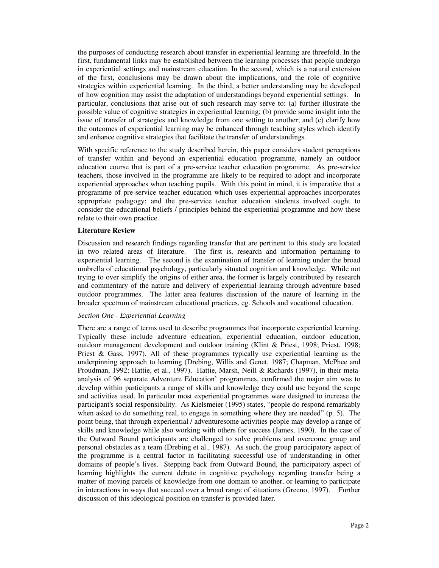the purposes of conducting research about transfer in experiential learning are threefold. In the first, fundamental links may be established between the learning processes that people undergo in experiential settings and mainstream education. In the second, which is a natural extension of the first, conclusions may be drawn about the implications, and the role of cognitive strategies within experiential learning. In the third, a better understanding may be developed of how cognition may assist the adaptation of understandings beyond experiential settings. In particular, conclusions that arise out of such research may serve to: (a) further illustrate the possible value of cognitive strategies in experiential learning; (b) provide some insight into the issue of transfer of strategies and knowledge from one setting to another; and (c) clarify how the outcomes of experiential learning may be enhanced through teaching styles which identify and enhance cognitive strategies that facilitate the transfer of understandings.

With specific reference to the study described herein, this paper considers student perceptions of transfer within and beyond an experiential education programme, namely an outdoor education course that is part of a pre-service teacher education programme. As pre-service teachers, those involved in the programme are likely to be required to adopt and incorporate experiential approaches when teaching pupils. With this point in mind, it is imperative that a programme of pre-service teacher education which uses experiential approaches incorporates appropriate pedagogy; and the pre-service teacher education students involved ought to consider the educational beliefs / principles behind the experiential programme and how these relate to their own practice.

## **Literature Review**

Discussion and research findings regarding transfer that are pertinent to this study are located in two related areas of literature. The first is, research and information pertaining to experiential learning. The second is the examination of transfer of learning under the broad umbrella of educational psychology, particularly situated cognition and knowledge. While not trying to over simplify the origins of either area, the former is largely contributed by research and commentary of the nature and delivery of experiential learning through adventure based outdoor programmes. The latter area features discussion of the nature of learning in the broader spectrum of mainstream educational practices, eg. Schools and vocational education.

#### *Section One - Experiential Learning*

There are a range of terms used to describe programmes that incorporate experiential learning. Typically these include adventure education, experiential education, outdoor education, outdoor management development and outdoor training (Klint & Priest, 1998; Priest, 1998; Priest & Gass, 1997). All of these programmes typically use experiential learning as the underpinning approach to learning (Drebing, Willis and Genet, 1987; Chapman, McPhee and Proudman, 1992; Hattie, et al., 1997). Hattie, Marsh, Neill & Richards (1997), in their metaanalysis of 96 separate Adventure Education' programmes, confirmed the major aim was to develop within participants a range of skills and knowledge they could use beyond the scope and activities used. In particular most experiential programmes were designed to increase the participant's social responsibility. As Kielsmeier (1995) states, "people do respond remarkably when asked to do something real, to engage in something where they are needed" (p. 5). The point being, that through experiential / adventuresome activities people may develop a range of skills and knowledge while also working with others for success (James, 1990). In the case of the Outward Bound participants are challenged to solve problems and overcome group and personal obstacles as a team (Drebing et al., 1987). As such, the group participatory aspect of the programme is a central factor in facilitating successful use of understanding in other domains of people's lives. Stepping back from Outward Bound, the participatory aspect of learning highlights the current debate in cognitive psychology regarding transfer being a matter of moving parcels of knowledge from one domain to another, or learning to participate in interactions in ways that succeed over a broad range of situations (Greeno, 1997). Further discussion of this ideological position on transfer is provided later.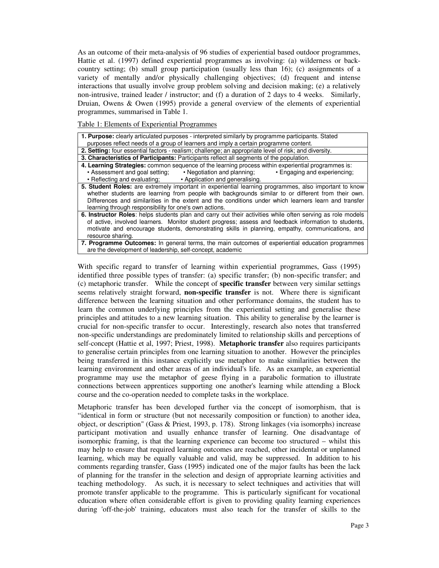As an outcome of their meta-analysis of 96 studies of experiential based outdoor programmes, Hattie et al. (1997) defined experiential programmes as involving: (a) wilderness or backcountry setting; (b) small group participation (usually less than 16); (c) assignments of a variety of mentally and/or physically challenging objectives; (d) frequent and intense interactions that usually involve group problem solving and decision making; (e) a relatively non-intrusive, trained leader / instructor; and (f) a duration of 2 days to 4 weeks. Similarly, Druian, Owens & Owen (1995) provide a general overview of the elements of experiential programmes, summarised in Table 1.

Table 1: Elements of Experiential Programmes

| <b>1. Purpose:</b> clearly articulated purposes - interpreted similarly by programme participants. Stated  |  |  |  |  |
|------------------------------------------------------------------------------------------------------------|--|--|--|--|
| purposes reflect needs of a group of learners and imply a certain programme content.                       |  |  |  |  |
| 2. Setting: four essential factors - realism; challenge; an appropriate level of risk; and diversity.      |  |  |  |  |
| 3. Characteristics of Participants: Participants reflect all segments of the population.                   |  |  |  |  |
| 4. Learning Strategies: common sequence of the learning process within experiential programmes is:         |  |  |  |  |
| • Assessment and goal setting; • Negotiation and planning; • Engaging and experiencing;                    |  |  |  |  |
| • Reflecting and evaluating; • Application and generalising.                                               |  |  |  |  |
| 5. Student Roles: are extremely important in experiential learning programmes, also important to know      |  |  |  |  |
| whether students are learning from people with backgrounds similar to or different from their own.         |  |  |  |  |
| Differences and similarities in the extent and the conditions under which learners learn and transfer      |  |  |  |  |
| learning through responsibility for one's own actions.                                                     |  |  |  |  |
| 6. Instructor Roles: helps students plan and carry out their activities while often serving as role models |  |  |  |  |
| of active, involved learners. Monitor student progress; assess and feedback information to students,       |  |  |  |  |
| motivate and encourage students, demonstrating skills in planning, empathy, communications, and            |  |  |  |  |
| resource sharing.                                                                                          |  |  |  |  |
| 7. Programme Outcomes: In general terms, the main outcomes of experiential education programmes            |  |  |  |  |
| are the development of leadership, self-concept, academic                                                  |  |  |  |  |

With specific regard to transfer of learning within experiential programmes, Gass (1995) identified three possible types of transfer: (a) specific transfer; (b) non-specific transfer; and (c) metaphoric transfer. While the concept of **specific transfer** between very similar settings seems relatively straight forward, **non-specific transfer** is not. Where there is significant difference between the learning situation and other performance domains, the student has to learn the common underlying principles from the experiential setting and generalise these principles and attitudes to a new learning situation. This ability to generalise by the learner is crucial for non-specific transfer to occur. Interestingly, research also notes that transferred non-specific understandings are predominately limited to relationship skills and perceptions of self-concept (Hattie et al, 1997; Priest, 1998). **Metaphoric transfer** also requires participants to generalise certain principles from one learning situation to another. However the principles being transferred in this instance explicitly use metaphor to make similarities between the learning environment and other areas of an individual's life. As an example, an experiential programme may use the metaphor of geese flying in a parabolic formation to illustrate connections between apprentices supporting one another's learning while attending a Block course and the co-operation needed to complete tasks in the workplace.

Metaphoric transfer has been developed further via the concept of isomorphism, that is "identical in form or structure (but not necessarily composition or function) to another idea, object, or description" (Gass & Priest, 1993, p. 178). Strong linkages (via isomorphs) increase participant motivation and usually enhance transfer of learning. One disadvantage of isomorphic framing, is that the learning experience can become too structured – whilst this may help to ensure that required learning outcomes are reached, other incidental or unplanned learning, which may be equally valuable and valid, may be suppressed. In addition to his comments regarding transfer, Gass (1995) indicated one of the major faults has been the lack of planning for the transfer in the selection and design of appropriate learning activities and teaching methodology. As such, it is necessary to select techniques and activities that will promote transfer applicable to the programme. This is particularly significant for vocational education where often considerable effort is given to providing quality learning experiences during 'off-the-job' training, educators must also teach for the transfer of skills to the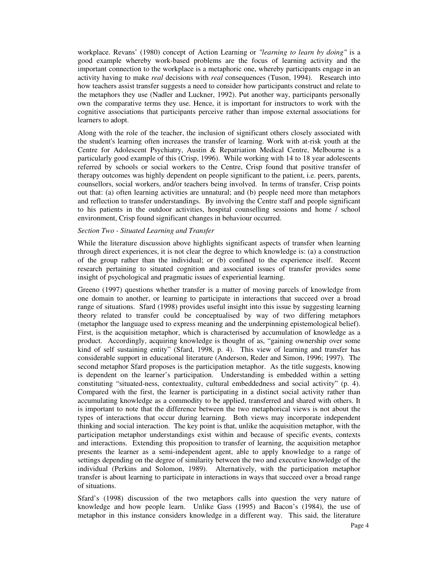workplace. Revans' (1980) concept of Action Learning or *"learning to learn by doing"* is a good example whereby work-based problems are the focus of learning activity and the important connection to the workplace is a metaphoric one, whereby participants engage in an activity having to make *real* decisions with *real* consequences (Tuson, 1994). Research into how teachers assist transfer suggests a need to consider how participants construct and relate to the metaphors they use (Nadler and Luckner, 1992). Put another way, participants personally own the comparative terms they use. Hence, it is important for instructors to work with the cognitive associations that participants perceive rather than impose external associations for learners to adopt.

Along with the role of the teacher, the inclusion of significant others closely associated with the student's learning often increases the transfer of learning. Work with at-risk youth at the Centre for Adolescent Psychiatry, Austin & Repatriation Medical Centre, Melbourne is a particularly good example of this (Crisp, 1996). While working with 14 to 18 year adolescents referred by schools or social workers to the Centre, Crisp found that positive transfer of therapy outcomes was highly dependent on people significant to the patient, i.e. peers, parents, counsellors, social workers, and/or teachers being involved. In terms of transfer, Crisp points out that: (a) often learning activities are unnatural; and (b) people need more than metaphors and reflection to transfer understandings. By involving the Centre staff and people significant to his patients in the outdoor activities, hospital counselling sessions and home / school environment, Crisp found significant changes in behaviour occurred.

#### *Section Two - Situated Learning and Transfer*

While the literature discussion above highlights significant aspects of transfer when learning through direct experiences, it is not clear the degree to which knowledge is: (a) a construction of the group rather than the individual; or (b) confined to the experience itself. Recent research pertaining to situated cognition and associated issues of transfer provides some insight of psychological and pragmatic issues of experiential learning.

Greeno (1997) questions whether transfer is a matter of moving parcels of knowledge from one domain to another, or learning to participate in interactions that succeed over a broad range of situations. Sfard (1998) provides useful insight into this issue by suggesting learning theory related to transfer could be conceptualised by way of two differing metaphors (metaphor the language used to express meaning and the underpinning epistemological belief). First, is the acquisition metaphor, which is characterised by accumulation of knowledge as a product. Accordingly, acquiring knowledge is thought of as, "gaining ownership over some kind of self sustaining entity" (Sfard, 1998, p. 4). This view of learning and transfer has considerable support in educational literature (Anderson, Reder and Simon, 1996; 1997). The second metaphor Sfard proposes is the participation metaphor. As the title suggests, knowing is dependent on the learner's participation. Understanding is embedded within a setting constituting "situated-ness, contextuality, cultural embeddedness and social activity" (p. 4). Compared with the first, the learner is participating in a distinct social activity rather than accumulating knowledge as a commodity to be applied, transferred and shared with others. It is important to note that the difference between the two metaphorical views is not about the types of interactions that occur during learning. Both views may incorporate independent thinking and social interaction. The key point is that, unlike the acquisition metaphor, with the participation metaphor understandings exist within and because of specific events, contexts and interactions. Extending this proposition to transfer of learning, the acquisition metaphor presents the learner as a semi-independent agent, able to apply knowledge to a range of settings depending on the degree of similarity between the two and executive knowledge of the individual (Perkins and Solomon, 1989). Alternatively, with the participation metaphor transfer is about learning to participate in interactions in ways that succeed over a broad range of situations.

Sfard's (1998) discussion of the two metaphors calls into question the very nature of knowledge and how people learn. Unlike Gass (1995) and Bacon's (1984), the use of metaphor in this instance considers knowledge in a different way. This said, the literature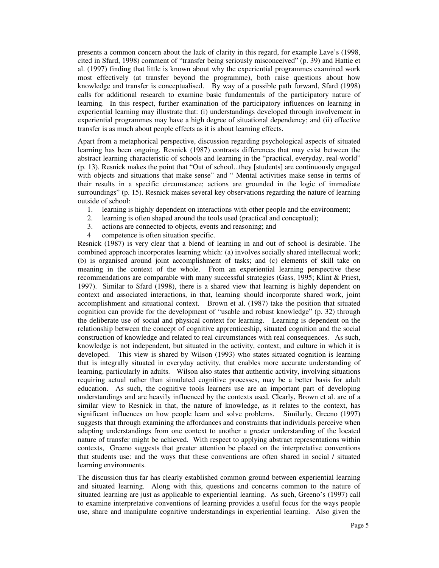presents a common concern about the lack of clarity in this regard, for example Lave's (1998, cited in Sfard, 1998) comment of "transfer being seriously misconceived" (p. 39) and Hattie et al. (1997) finding that little is known about why the experiential programmes examined work most effectively (at transfer beyond the programme), both raise questions about how knowledge and transfer is conceptualised. By way of a possible path forward, Sfard (1998) calls for additional research to examine basic fundamentals of the participatory nature of learning. In this respect, further examination of the participatory influences on learning in experiential learning may illustrate that: (i) understandings developed through involvement in experiential programmes may have a high degree of situational dependency; and (ii) effective transfer is as much about people effects as it is about learning effects.

Apart from a metaphorical perspective, discussion regarding psychological aspects of situated learning has been ongoing. Resnick (1987) contrasts differences that may exist between the abstract learning characteristic of schools and learning in the "practical, everyday, real-world" (p. 13). Resnick makes the point that "Out of school...they [students] are continuously engaged with objects and situations that make sense" and " Mental activities make sense in terms of their results in a specific circumstance; actions are grounded in the logic of immediate surroundings" (p. 15). Resnick makes several key observations regarding the nature of learning outside of school:

- 1. learning is highly dependent on interactions with other people and the environment;
- 2. learning is often shaped around the tools used (practical and conceptual);
- 3. actions are connected to objects, events and reasoning; and
- competence is often situation specific.

Resnick (1987) is very clear that a blend of learning in and out of school is desirable. The combined approach incorporates learning which: (a) involves socially shared intellectual work; (b) is organised around joint accomplishment of tasks; and (c) elements of skill take on meaning in the context of the whole. From an experiential learning perspective these recommendations are comparable with many successful strategies (Gass, 1995; Klint & Priest, 1997). Similar to Sfard (1998), there is a shared view that learning is highly dependent on context and associated interactions, in that, learning should incorporate shared work, joint accomplishment and situational context. Brown et al. (1987) take the position that situated cognition can provide for the development of "usable and robust knowledge" (p. 32) through the deliberate use of social and physical context for learning. Learning is dependent on the relationship between the concept of cognitive apprenticeship, situated cognition and the social construction of knowledge and related to real circumstances with real consequences. As such, knowledge is not independent, but situated in the activity, context, and culture in which it is developed. This view is shared by Wilson (1993) who states situated cognition is learning that is integrally situated in everyday activity, that enables more accurate understanding of learning, particularly in adults. Wilson also states that authentic activity, involving situations requiring actual rather than simulated cognitive processes, may be a better basis for adult education. As such, the cognitive tools learners use are an important part of developing understandings and are heavily influenced by the contexts used. Clearly, Brown et al. are of a similar view to Resnick in that, the nature of knowledge, as it relates to the context, has significant influences on how people learn and solve problems. Similarly, Greeno (1997) suggests that through examining the affordances and constraints that individuals perceive when adapting understandings from one context to another a greater understanding of the located nature of transfer might be achieved. With respect to applying abstract representations within contexts, Greeno suggests that greater attention be placed on the interpretative conventions that students use: and the ways that these conventions are often shared in social / situated learning environments.

The discussion thus far has clearly established common ground between experiential learning and situated learning. Along with this, questions and concerns common to the nature of situated learning are just as applicable to experiential learning. As such, Greeno's (1997) call to examine interpretative conventions of learning provides a useful focus for the ways people use, share and manipulate cognitive understandings in experiential learning. Also given the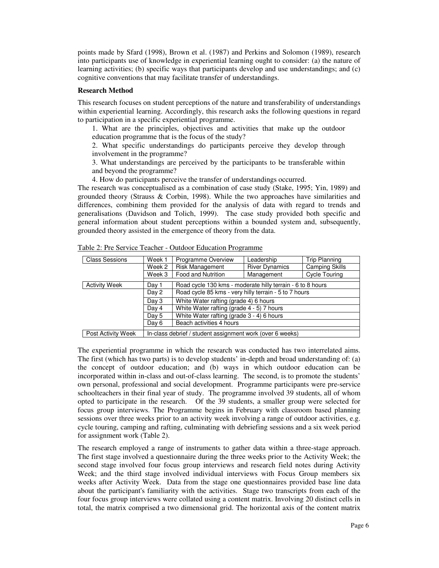points made by Sfard (1998), Brown et al. (1987) and Perkins and Solomon (1989), research into participants use of knowledge in experiential learning ought to consider: (a) the nature of learning activities; (b) specific ways that participants develop and use understandings; and (c) cognitive conventions that may facilitate transfer of understandings.

### **Research Method**

This research focuses on student perceptions of the nature and transferability of understandings within experiential learning. Accordingly, this research asks the following questions in regard to participation in a specific experiential programme.

1. What are the principles, objectives and activities that make up the outdoor education programme that is the focus of the study?

2. What specific understandings do participants perceive they develop through involvement in the programme?

3. What understandings are perceived by the participants to be transferable within and beyond the programme?

4. How do participants perceive the transfer of understandings occurred.

The research was conceptualised as a combination of case study (Stake, 1995; Yin, 1989) and grounded theory (Strauss & Corbin, 1998). While the two approaches have similarities and differences, combining them provided for the analysis of data with regard to trends and generalisations (Davidson and Tolich, 1999). The case study provided both specific and general information about student perceptions within a bounded system and, subsequently, grounded theory assisted in the emergence of theory from the data.

| <b>Class Sessions</b>             | Week 1                                                    | Programme Overview                                                                                                                                                                       | Leadership            | <b>Trip Planning</b>  |  |
|-----------------------------------|-----------------------------------------------------------|------------------------------------------------------------------------------------------------------------------------------------------------------------------------------------------|-----------------------|-----------------------|--|
|                                   | Week 2                                                    | <b>Risk Management</b>                                                                                                                                                                   | <b>River Dynamics</b> | <b>Camping Skills</b> |  |
|                                   | Week 3                                                    | Food and Nutrition                                                                                                                                                                       | Management            | <b>Cycle Touring</b>  |  |
| <b>Activity Week</b>              | Day 1                                                     | Road cycle 130 kms - moderate hilly terrain - 6 to 8 hours                                                                                                                               |                       |                       |  |
|                                   | Day 2                                                     | Road cycle 85 kms - very hilly terrain - 5 to 7 hours<br>White Water rafting (grade 4) 6 hours<br>White Water rafting (grade 4 - 5) 7 hours<br>White Water rafting (grade 3 - 4) 6 hours |                       |                       |  |
|                                   | Day 3                                                     |                                                                                                                                                                                          |                       |                       |  |
|                                   | Day 4                                                     |                                                                                                                                                                                          |                       |                       |  |
|                                   | Day 5                                                     |                                                                                                                                                                                          |                       |                       |  |
| Beach activities 4 hours<br>Day 6 |                                                           |                                                                                                                                                                                          |                       |                       |  |
| Post Activity Week                | In-class debrief / student assignment work (over 6 weeks) |                                                                                                                                                                                          |                       |                       |  |

Table 2: Pre Service Teacher - Outdoor Education Programme

The experiential programme in which the research was conducted has two interrelated aims. The first (which has two parts) is to develop students' in-depth and broad understanding of: (a) the concept of outdoor education; and (b) ways in which outdoor education can be incorporated within in-class and out-of-class learning. The second, is to promote the students' own personal, professional and social development. Programme participants were pre-service schoolteachers in their final year of study. The programme involved 39 students, all of whom opted to participate in the research. Of the 39 students, a smaller group were selected for focus group interviews. The Programme begins in February with classroom based planning sessions over three weeks prior to an activity week involving a range of outdoor activities, e.g. cycle touring, camping and rafting, culminating with debriefing sessions and a six week period for assignment work (Table 2).

The research employed a range of instruments to gather data within a three-stage approach. The first stage involved a questionnaire during the three weeks prior to the Activity Week; the second stage involved four focus group interviews and research field notes during Activity Week; and the third stage involved individual interviews with Focus Group members six weeks after Activity Week. Data from the stage one questionnaires provided base line data about the participant's familiarity with the activities. Stage two transcripts from each of the four focus group interviews were collated using a content matrix. Involving 20 distinct cells in total, the matrix comprised a two dimensional grid. The horizontal axis of the content matrix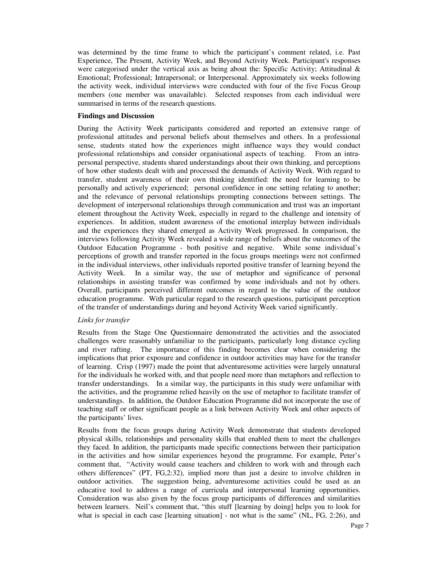was determined by the time frame to which the participant's comment related, i.e. Past Experience, The Present, Activity Week, and Beyond Activity Week. Participant's responses were categorised under the vertical axis as being about the: Specific Activity; Attitudinal  $\&$ Emotional; Professional; Intrapersonal; or Interpersonal. Approximately six weeks following the activity week, individual interviews were conducted with four of the five Focus Group members (one member was unavailable). Selected responses from each individual were summarised in terms of the research questions.

### **Findings and Discussion**

During the Activity Week participants considered and reported an extensive range of professional attitudes and personal beliefs about themselves and others. In a professional sense, students stated how the experiences might influence ways they would conduct professional relationships and consider organisational aspects of teaching. From an intrapersonal perspective, students shared understandings about their own thinking, and perceptions of how other students dealt with and processed the demands of Activity Week. With regard to transfer, student awareness of their own thinking identified: the need for learning to be personally and actively experienced; personal confidence in one setting relating to another; and the relevance of personal relationships prompting connections between settings. The development of interpersonal relationships through communication and trust was an important element throughout the Activity Week, especially in regard to the challenge and intensity of experiences. In addition, student awareness of the emotional interplay between individuals and the experiences they shared emerged as Activity Week progressed. In comparison, the interviews following Activity Week revealed a wide range of beliefs about the outcomes of the Outdoor Education Programme - both positive and negative. While some individual's perceptions of growth and transfer reported in the focus groups meetings were not confirmed in the individual interviews, other individuals reported positive transfer of learning beyond the Activity Week. In a similar way, the use of metaphor and significance of personal relationships in assisting transfer was confirmed by some individuals and not by others. Overall, participants perceived different outcomes in regard to the value of the outdoor education programme. With particular regard to the research questions, participant perception of the transfer of understandings during and beyond Activity Week varied significantly.

### *Links for transfer*

Results from the Stage One Questionnaire demonstrated the activities and the associated challenges were reasonably unfamiliar to the participants, particularly long distance cycling and river rafting. The importance of this finding becomes clear when considering the implications that prior exposure and confidence in outdoor activities may have for the transfer of learning. Crisp (1997) made the point that adventuresome activities were largely unnatural for the individuals he worked with, and that people need more than metaphors and reflection to transfer understandings. In a similar way, the participants in this study were unfamiliar with the activities, and the programme relied heavily on the use of metaphor to facilitate transfer of understandings. In addition, the Outdoor Education Programme did not incorporate the use of teaching staff or other significant people as a link between Activity Week and other aspects of the participants' lives.

Results from the focus groups during Activity Week demonstrate that students developed physical skills, relationships and personality skills that enabled them to meet the challenges they faced. In addition, the participants made specific connections between their participation in the activities and how similar experiences beyond the programme. For example, Peter's comment that, "Activity would cause teachers and children to work with and through each others differences" (PT, FG,2:32)*,* implied more than just a desire to involve children in outdoor activities. The suggestion being, adventuresome activities could be used as an educative tool to address a range of curricula and interpersonal learning opportunities. Consideration was also given by the focus group participants of differences and similarities between learners. Neil's comment that, "this stuff [learning by doing] helps you to look for what is special in each case [learning situation] - not what is the same" (NL, FG, 2:26), and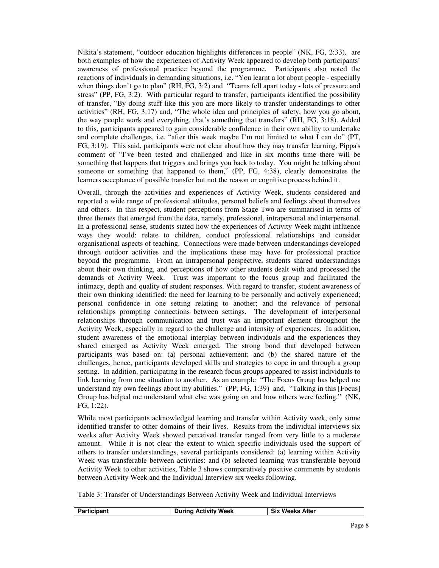Nikita's statement, "outdoor education highlights differences in people" (NK, FG, 2:33)*,* are both examples of how the experiences of Activity Week appeared to develop both participants' awareness of professional practice beyond the programme. Participants also noted the reactions of individuals in demanding situations, i.e. "You learnt a lot about people - especially when things don't go to plan" (RH, FG, 3:2) and "Teams fell apart today - lots of pressure and stress" (PP, FG, 3:2). With particular regard to transfer, participants identified the possibility of transfer, "By doing stuff like this you are more likely to transfer understandings to other activities" (RH, FG, 3:17) and, "The whole idea and principles of safety, how you go about, the way people work and everything, that's something that transfers" (RH, FG, 3:18). Added to this, participants appeared to gain considerable confidence in their own ability to undertake and complete challenges, i.e. "after this week maybe I'm not limited to what I can do" (PT, FG, 3:19). This said, participants were not clear about how they may transfer learning, Pippa's comment of "I've been tested and challenged and like in six months time there will be something that happens that triggers and brings you back to today. You might be talking about someone or something that happened to them," (PP, FG, 4:38), clearly demonstrates the learners acceptance of possible transfer but not the reason or cognitive process behind it.

Overall, through the activities and experiences of Activity Week, students considered and reported a wide range of professional attitudes, personal beliefs and feelings about themselves and others. In this respect, student perceptions from Stage Two are summarised in terms of three themes that emerged from the data, namely, professional, intrapersonal and interpersonal. In a professional sense, students stated how the experiences of Activity Week might influence ways they would: relate to children, conduct professional relationships and consider organisational aspects of teaching. Connections were made between understandings developed through outdoor activities and the implications these may have for professional practice beyond the programme. From an intrapersonal perspective, students shared understandings about their own thinking, and perceptions of how other students dealt with and processed the demands of Activity Week. Trust was important to the focus group and facilitated the intimacy, depth and quality of student responses. With regard to transfer, student awareness of their own thinking identified: the need for learning to be personally and actively experienced; personal confidence in one setting relating to another; and the relevance of personal relationships prompting connections between settings. The development of interpersonal relationships through communication and trust was an important element throughout the Activity Week, especially in regard to the challenge and intensity of experiences. In addition, student awareness of the emotional interplay between individuals and the experiences they shared emerged as Activity Week emerged. The strong bond that developed between participants was based on: (a) personal achievement; and (b) the shared nature of the challenges, hence, participants developed skills and strategies to cope in and through a group setting. In addition, participating in the research focus groups appeared to assist individuals to link learning from one situation to another. As an example "The Focus Group has helped me understand my own feelings about my abilities." (PP, FG, 1:39) and, "Talking in this [Focus] Group has helped me understand what else was going on and how others were feeling." (NK, FG, 1:22).

While most participants acknowledged learning and transfer within Activity week, only some identified transfer to other domains of their lives. Results from the individual interviews six weeks after Activity Week showed perceived transfer ranged from very little to a moderate amount. While it is not clear the extent to which specific individuals used the support of others to transfer understandings, several participants considered: (a) learning within Activity Week was transferable between activities; and (b) selected learning was transferable beyond Activity Week to other activities, Table 3 shows comparatively positive comments by students between Activity Week and the Individual Interview six weeks following.

Table 3: Transfer of Understandings Between Activity Week and Individual Interviews

| <b>Participant</b> | <b>During Activity Week</b> | <b>Six Weeks After</b> |
|--------------------|-----------------------------|------------------------|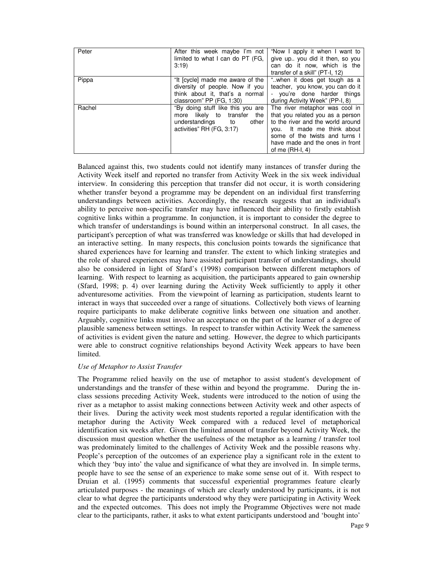| Peter  | After this week maybe I'm not<br>limited to what I can do PT (FG,<br>3:19                                                                       | "Now I apply it when I want to<br>give up., you did it then, so you<br>can do it now, which is the<br>transfer of a skill" (PT-I, 12)                                                                                               |
|--------|-------------------------------------------------------------------------------------------------------------------------------------------------|-------------------------------------------------------------------------------------------------------------------------------------------------------------------------------------------------------------------------------------|
| Pippa  | "It [cycle] made me aware of the<br>diversity of people. Now if you<br>think about it, that's a normal<br>classroom" PP (FG, 1:30)              | "when it does get tough as a<br>teacher, you know, you can do it<br>- you're done harder things<br>during Activity Week" (PP-I, 8)                                                                                                  |
| Rachel | "By doing stuff like this you are<br>more likely to<br>transfer<br>the<br>understandings<br>other<br>$\mathsf{to}$<br>activities" RH (FG, 3:17) | The river metaphor was cool in<br>that you related you as a person<br>to the river and the world around<br>It made me think about<br>vou.<br>some of the twists and turns I<br>have made and the ones in front<br>of me $(RH-I, 4)$ |

Balanced against this, two students could not identify many instances of transfer during the Activity Week itself and reported no transfer from Activity Week in the six week individual interview. In considering this perception that transfer did not occur, it is worth considering whether transfer beyond a programme may be dependent on an individual first transferring understandings between activities. Accordingly, the research suggests that an individual's ability to perceive non-specific transfer may have influenced their ability to firstly establish cognitive links within a programme. In conjunction, it is important to consider the degree to which transfer of understandings is bound within an interpersonal construct. In all cases, the participant's perception of what was transferred was knowledge or skills that had developed in an interactive setting. In many respects, this conclusion points towards the significance that shared experiences have for learning and transfer. The extent to which linking strategies and the role of shared experiences may have assisted participant transfer of understandings, should also be considered in light of Sfard's (1998) comparison between different metaphors of learning. With respect to learning as acquisition, the participants appeared to gain ownership (Sfard, 1998; p. 4) over learning during the Activity Week sufficiently to apply it other adventuresome activities. From the viewpoint of learning as participation, students learnt to interact in ways that succeeded over a range of situations. Collectively both views of learning require participants to make deliberate cognitive links between one situation and another. Arguably, cognitive links must involve an acceptance on the part of the learner of a degree of plausible sameness between settings. In respect to transfer within Activity Week the sameness of activities is evident given the nature and setting. However, the degree to which participants were able to construct cognitive relationships beyond Activity Week appears to have been limited.

## *Use of Metaphor to Assist Transfer*

The Programme relied heavily on the use of metaphor to assist student's development of understandings and the transfer of these within and beyond the programme. During the inclass sessions preceding Activity Week, students were introduced to the notion of using the river as a metaphor to assist making connections between Activity week and other aspects of their lives. During the activity week most students reported a regular identification with the metaphor during the Activity Week compared with a reduced level of metaphorical identification six weeks after. Given the limited amount of transfer beyond Activity Week, the discussion must question whether the usefulness of the metaphor as a learning / transfer tool was predominately limited to the challenges of Activity Week and the possible reasons why. People's perception of the outcomes of an experience play a significant role in the extent to which they 'buy into' the value and significance of what they are involved in. In simple terms, people have to see the sense of an experience to make some sense out of it. With respect to Druian et al. (1995) comments that successful experiential programmes feature clearly articulated purposes - the meanings of which are clearly understood by participants, it is not clear to what degree the participants understood why they were participating in Activity Week and the expected outcomes. This does not imply the Programme Objectives were not made clear to the participants, rather, it asks to what extent participants understood and 'bought into'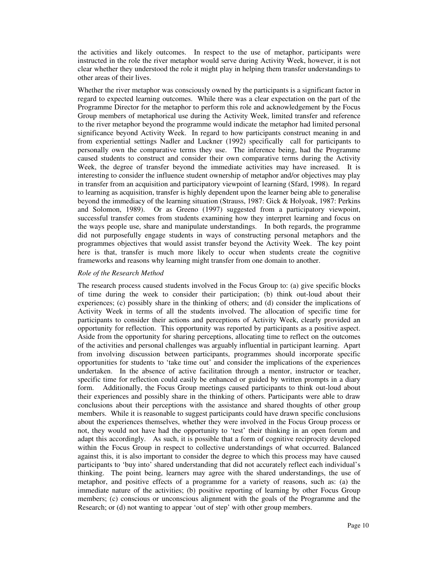the activities and likely outcomes. In respect to the use of metaphor, participants were instructed in the role the river metaphor would serve during Activity Week, however, it is not clear whether they understood the role it might play in helping them transfer understandings to other areas of their lives.

Whether the river metaphor was consciously owned by the participants is a significant factor in regard to expected learning outcomes. While there was a clear expectation on the part of the Programme Director for the metaphor to perform this role and acknowledgement by the Focus Group members of metaphorical use during the Activity Week, limited transfer and reference to the river metaphor beyond the programme would indicate the metaphor had limited personal significance beyond Activity Week. In regard to how participants construct meaning in and from experiential settings Nadler and Luckner (1992) specifically call for participants to personally own the comparative terms they use. The inference being, had the Programme caused students to construct and consider their own comparative terms during the Activity Week, the degree of transfer beyond the immediate activities may have increased. It is interesting to consider the influence student ownership of metaphor and/or objectives may play in transfer from an acquisition and participatory viewpoint of learning (Sfard, 1998). In regard to learning as acquisition, transfer is highly dependent upon the learner being able to generalise beyond the immediacy of the learning situation (Strauss, 1987: Gick & Holyoak, 1987: Perkins and Solomon, 1989). Or as Greeno (1997) suggested from a participatory viewpoint, successful transfer comes from students examining how they interpret learning and focus on the ways people use, share and manipulate understandings. In both regards, the programme did not purposefully engage students in ways of constructing personal metaphors and the programmes objectives that would assist transfer beyond the Activity Week. The key point here is that, transfer is much more likely to occur when students create the cognitive frameworks and reasons why learning might transfer from one domain to another.

## *Role of the Research Method*

The research process caused students involved in the Focus Group to: (a) give specific blocks of time during the week to consider their participation; (b) think out-loud about their experiences; (c) possibly share in the thinking of others; and (d) consider the implications of Activity Week in terms of all the students involved. The allocation of specific time for participants to consider their actions and perceptions of Activity Week, clearly provided an opportunity for reflection. This opportunity was reported by participants as a positive aspect. Aside from the opportunity for sharing perceptions, allocating time to reflect on the outcomes of the activities and personal challenges was arguably influential in participant learning. Apart from involving discussion between participants, programmes should incorporate specific opportunities for students to 'take time out' and consider the implications of the experiences undertaken. In the absence of active facilitation through a mentor, instructor or teacher, specific time for reflection could easily be enhanced or guided by written prompts in a diary form. Additionally, the Focus Group meetings caused participants to think out-loud about their experiences and possibly share in the thinking of others. Participants were able to draw conclusions about their perceptions with the assistance and shared thoughts of other group members. While it is reasonable to suggest participants could have drawn specific conclusions about the experiences themselves, whether they were involved in the Focus Group process or not, they would not have had the opportunity to 'test' their thinking in an open forum and adapt this accordingly. As such, it is possible that a form of cognitive reciprocity developed within the Focus Group in respect to collective understandings of what occurred. Balanced against this, it is also important to consider the degree to which this process may have caused participants to 'buy into' shared understanding that did not accurately reflect each individual's thinking. The point being, learners may agree with the shared understandings, the use of metaphor, and positive effects of a programme for a variety of reasons, such as: (a) the immediate nature of the activities; (b) positive reporting of learning by other Focus Group members; (c) conscious or unconscious alignment with the goals of the Programme and the Research; or (d) not wanting to appear 'out of step' with other group members.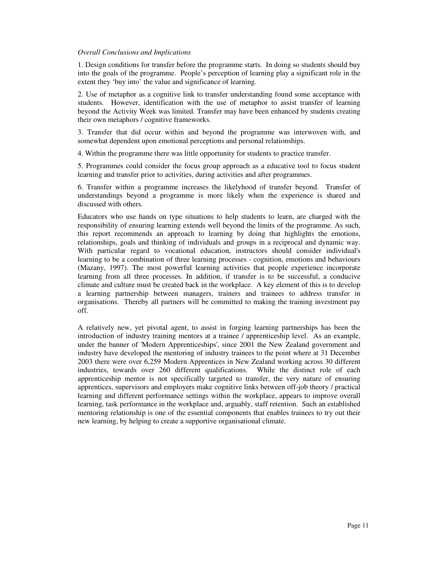#### *Overall Conclusions and Implications*

1. Design conditions for transfer before the programme starts. In doing so students should buy into the goals of the programme. People's perception of learning play a significant role in the extent they 'buy into' the value and significance of learning.

2. Use of metaphor as a cognitive link to transfer understanding found some acceptance with students. However, identification with the use of metaphor to assist transfer of learning beyond the Activity Week was limited. Transfer may have been enhanced by students creating their own metaphors / cognitive frameworks.

3. Transfer that did occur within and beyond the programme was interwoven with, and somewhat dependent upon emotional perceptions and personal relationships.

4. Within the programme there was little opportunity for students to practice transfer.

5. Programmes could consider the focus group approach as a educative tool to focus student learning and transfer prior to activities, during activities and after programmes.

6. Transfer within a programme increases the likelyhood of transfer beyond. Transfer of understandings beyond a programme is more likely when the experience is shared and discussed with others.

Educators who use hands on type situations to help students to learn, are charged with the responsibility of ensuring learning extends well beyond the limits of the programme. As such, this report recommends an approach to learning by doing that highlights the emotions, relationships, goals and thinking of individuals and groups in a reciprocal and dynamic way. With particular regard to vocational education, instructors should consider individual's learning to be a combination of three learning processes - cognition, emotions and behaviours (Mazany, 1997). The most powerful learning activities that people experience incorporate learning from all three processes. In addition, if transfer is to be successful, a conducive climate and culture must be created back in the workplace. A key element of this is to develop a learning partnership between managers, trainers and trainees to address transfer in organisations. Thereby all partners will be committed to making the training investment pay off.

A relatively new, yet pivotal agent, to assist in forging learning partnerships has been the introduction of industry training mentors at a trainee / apprenticeship level. As an example, under the banner of 'Modern Apprenticeships', since 2001 the New Zealand government and industry have developed the mentoring of industry trainees to the point where at 31 December 2003 there were over 6,259 Modern Apprentices in New Zealand working across 30 different industries, towards over 260 different qualifications. While the distinct role of each apprenticeship mentor is not specifically targeted to transfer, the very nature of ensuring apprentices, supervisors and employers make cognitive links between off-job theory / practical learning and different performance settings within the workplace, appears to improve overall learning, task performance in the workplace and, arguably, staff retention. Such an established mentoring relationship is one of the essential components that enables trainees to try out their new learning, by helping to create a supportive organisational climate.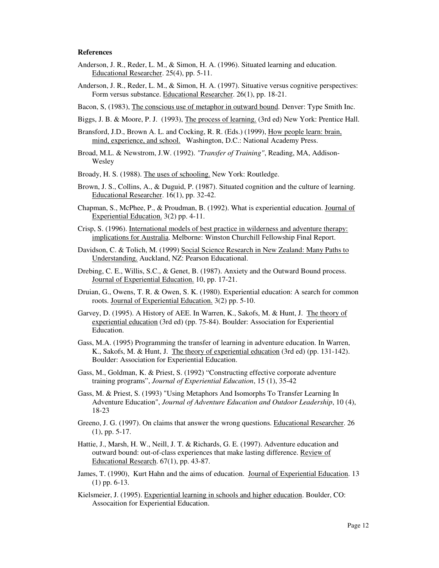#### **References**

- Anderson, J. R., Reder, L. M., & Simon, H. A. (1996). Situated learning and education. Educational Researcher. 25(4), pp. 5-11.
- Anderson, J. R., Reder, L. M., & Simon, H. A. (1997). Situative versus cognitive perspectives: Form versus substance. Educational Researcher. 26(1), pp. 18-21.
- Bacon, S, (1983), The conscious use of metaphor in outward bound. Denver: Type Smith Inc.
- Biggs, J. B. & Moore, P. J. (1993), The process of learning. (3rd ed) New York: Prentice Hall.
- Bransford, J.D., Brown A. L. and Cocking, R. R. (Eds.) (1999), How people learn: brain, mind, experience, and school. Washington, D.C.: National Academy Press.
- Broad, M.L. & Newstrom, J.W. (1992). *"Transfer of Training"*, Reading, MA, Addison-Wesley
- Broady, H. S. (1988). The uses of schooling. New York: Routledge.
- Brown, J. S., Collins, A., & Duguid, P. (1987). Situated cognition and the culture of learning. Educational Researcher. 16(1), pp. 32-42.
- Chapman, S., McPhee, P., & Proudman, B. (1992). What is experiential education. Journal of Experiential Education. 3(2) pp. 4-11.
- Crisp, S. (1996). International models of best practice in wilderness and adventure therapy: implications for Australia. Melborne: Winston Churchill Fellowship Final Report.
- Davidson, C. & Tolich, M. (1999) Social Science Research in New Zealand: Many Paths to Understanding. Auckland, NZ: Pearson Educational.
- Drebing, C. E., Willis, S.C., & Genet, B. (1987). Anxiety and the Outward Bound process. Journal of Experiential Education. 10, pp. 17-21.
- Druian, G., Owens, T. R. & Owen, S. K. (1980). Experiential education: A search for common roots. Journal of Experiential Education. 3(2) pp. 5-10.
- Garvey, D. (1995). A History of AEE. In Warren, K., Sakofs, M. & Hunt, J. The theory of experiential education (3rd ed) (pp. 75-84). Boulder: Association for Experiential Education.
- Gass, M.A. (1995) Programming the transfer of learning in adventure education. In Warren, K., Sakofs, M. & Hunt, J. The theory of experiential education (3rd ed) (pp. 131-142). Boulder: Association for Experiential Education.
- Gass, M., Goldman, K. & Priest, S. (1992) "Constructing effective corporate adventure training programs", *Journal of Experiential Education*, 15 (1), 35-42
- Gass, M. & Priest, S. (1993) "Using Metaphors And Isomorphs To Transfer Learning In Adventure Education", *Journal of Adventure Education and Outdoor Leadership*, 10 (4), 18-23
- Greeno, J. G. (1997). On claims that answer the wrong questions. Educational Researcher. 26 (1), pp. 5-17.
- Hattie, J., Marsh, H. W., Neill, J. T. & Richards, G. E. (1997). Adventure education and outward bound: out-of-class experiences that make lasting difference. Review of Educational Research. 67(1), pp. 43-87.
- James, T. (1990), Kurt Hahn and the aims of education. Journal of Experiential Education. 13 (1) pp. 6-13.
- Kielsmeier, J. (1995). Experiential learning in schools and higher education. Boulder, CO: Assocaition for Experiential Education.